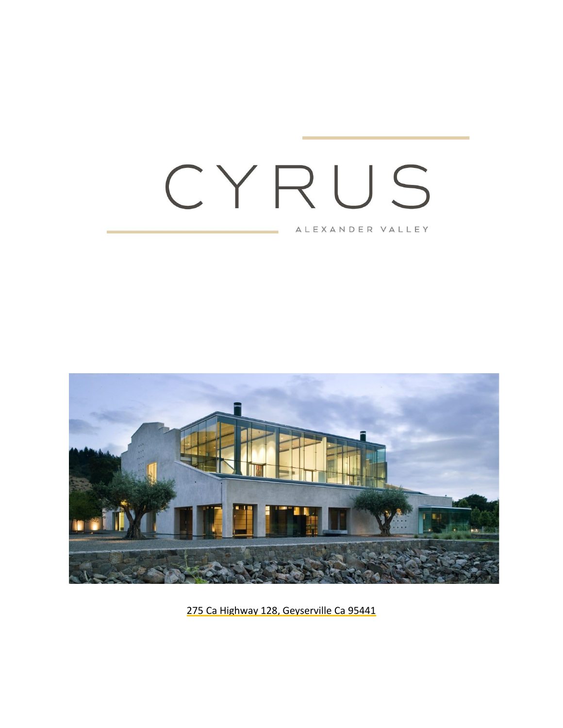# CYRUS

ALEXANDER VALLEY



275 Ca Highway 128, Geyserville Ca 95441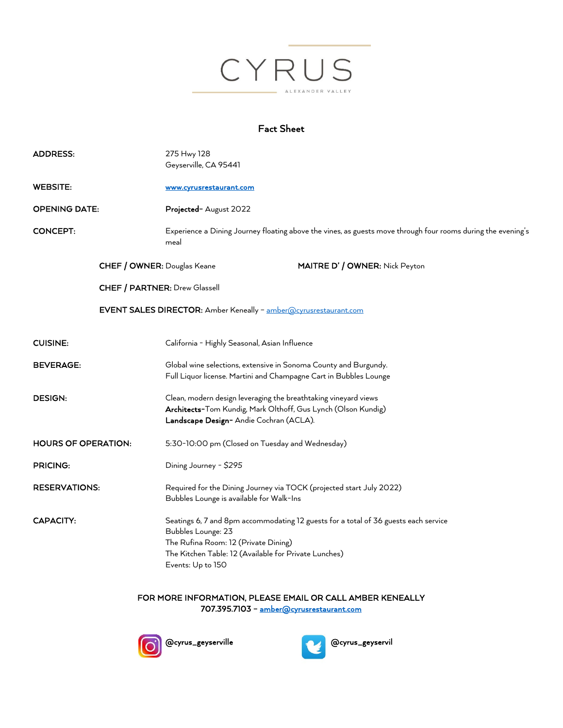

#### Fact Sheet

| <b>ADDRESS:</b>            | 275 Hwy 128<br>Geyserville, CA 95441                                                                                                                                                                                            |
|----------------------------|---------------------------------------------------------------------------------------------------------------------------------------------------------------------------------------------------------------------------------|
| <b>WEBSITE:</b>            | www.cyrusrestaurant.com                                                                                                                                                                                                         |
| <b>OPENING DATE:</b>       | Projected- August 2022                                                                                                                                                                                                          |
| <b>CONCEPT:</b>            | Experience a Dining Journey floating above the vines, as guests move through four rooms during the evening's<br>meal                                                                                                            |
|                            | MAITRE D' / OWNER: Nick Peyton<br>CHEF / OWNER: Douglas Keane                                                                                                                                                                   |
|                            | CHEF / PARTNER: Drew Glassell                                                                                                                                                                                                   |
|                            | EVENT SALES DIRECTOR: Amber Keneally - amber@cyrusrestaurant.com                                                                                                                                                                |
| <b>CUISINE:</b>            | California - Highly Seasonal, Asian Influence                                                                                                                                                                                   |
| <b>BEVERAGE:</b>           | Global wine selections, extensive in Sonoma County and Burgundy.<br>Full Liquor license. Martini and Champagne Cart in Bubbles Lounge                                                                                           |
| <b>DESIGN:</b>             | Clean, modern design leveraging the breathtaking vineyard views<br>Architects-Tom Kundig, Mark Olthoff, Gus Lynch (Olson Kundig)<br>Landscape Design- Andie Cochran (ACLA).                                                     |
| <b>HOURS OF OPERATION:</b> | 5:30-10:00 pm (Closed on Tuesday and Wednesday)                                                                                                                                                                                 |
| PRICING:                   | Dining Journey - \$295                                                                                                                                                                                                          |
| <b>RESERVATIONS:</b>       | Required for the Dining Journey via TOCK (projected start July 2022)<br>Bubbles Lounge is available for Walk-Ins                                                                                                                |
| CAPACITY:                  | Seatings 6, 7 and 8pm accommodating 12 guests for a total of 36 guests each service<br>Bubbles Lounge: 23<br>The Rufina Room: 12 (Private Dining)<br>The Kitchen Table: 12 (Available for Private Lunches)<br>Events: Up to 150 |

FOR MORE INFORMATION, PLEASE EMAIL OR CALL AMBER KENEALLY 707.395.7103 – amber@cyrusrestaurant.com



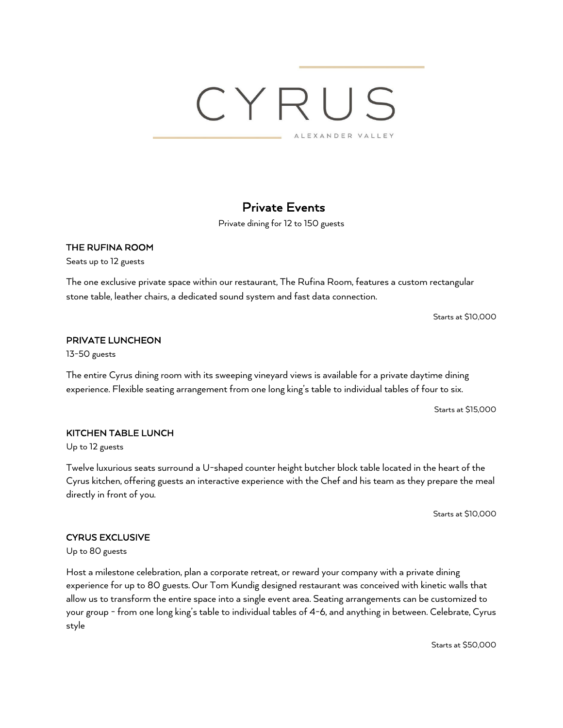#### Private Events

Private dining for 12 to 150 guests

#### THE RUFINA ROOM

Seats up to 12 guests

The one exclusive private space within our restaurant, The Rufina Room, features a custom rectangular stone table, leather chairs, a dedicated sound system and fast data connection.

Starts at \$10,000

#### PRIVATE LUNCHEON

13-50 guests

The entire Cyrus dining room with its sweeping vineyard views is available for a private daytime dining experience. Flexible seating arrangement from one long king's table to individual tables of four to six.

Starts at \$15,000

#### KITCHEN TABLE LUNCH

Up to 12 guests

Twelve luxurious seats surround a U-shaped counter height butcher block table located in the heart of the Cyrus kitchen, offering guests an interactive experience with the Chef and his team as they prepare the meal directly in front of you.

Starts at \$10,000

#### CYRUS EXCLUSIVE

Up to 80 guests

Host a milestone celebration, plan a corporate retreat, or reward your company with a private dining experience for up to 80 guests. Our Tom Kundig designed restaurant was conceived with kinetic walls that allow us to transform the entire space into a single event area. Seating arrangements can be customized to your group - from one long king's table to individual tables of 4-6, and anything in between. Celebrate, Cyrus style

Starts at \$50,000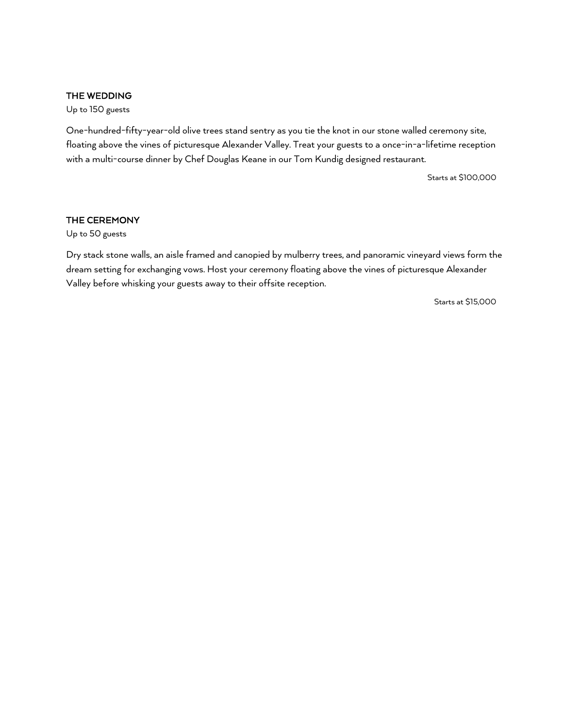#### THE WEDDING

Up to 150 guests

One-hundred-fifty-year-old olive trees stand sentry as you tie the knot in our stone walled ceremony site, floating above the vines of picturesque Alexander Valley. Treat your guests to a once-in-a-lifetime reception with a multi-course dinner by Chef Douglas Keane in our Tom Kundig designed restaurant.

Starts at \$100,000

#### THE CEREMONY

Up to 50 guests

Dry stack stone walls, an aisle framed and canopied by mulberry trees, and panoramic vineyard views form the dream setting for exchanging vows. Host your ceremony floating above the vines of picturesque Alexander Valley before whisking your guests away to their offsite reception.

Starts at \$15,000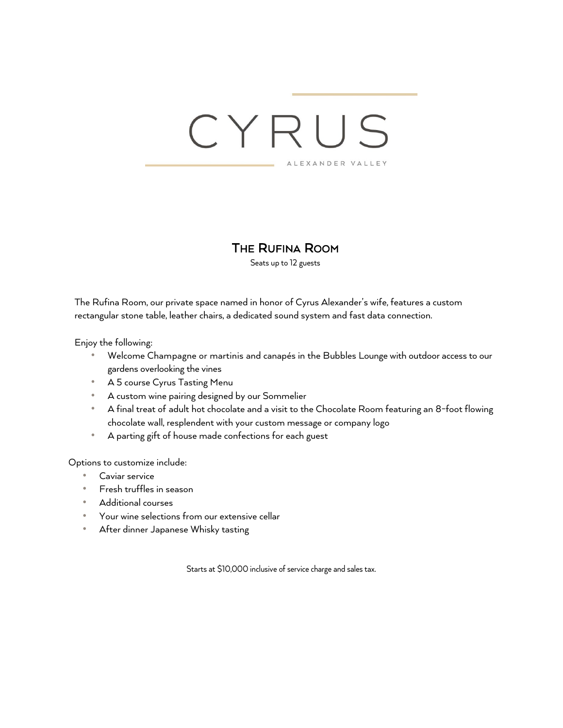#### THE RUFINA ROOM

Seats up to 12 guests

The Rufina Room, our private space named in honor of Cyrus Alexander's wife, features a custom rectangular stone table, leather chairs, a dedicated sound system and fast data connection.

Enjoy the following:

- Welcome Champagne or martinis and canapés in the Bubbles Lounge with outdoor access to our gardens overlooking the vines
- A 5 course Cyrus Tasting Menu
- A custom wine pairing designed by our Sommelier
- A final treat of adult hot chocolate and a visit to the Chocolate Room featuring an 8-foot flowing chocolate wall, resplendent with your custom message or company logo
- A parting gift of house made confections for each guest

Options to customize include:

- Caviar service
- Fresh truffles in season
- Additional courses
- Your wine selections from our extensive cellar
- After dinner Japanese Whisky tasting

Starts at \$10,000 inclusive of service charge and sales tax.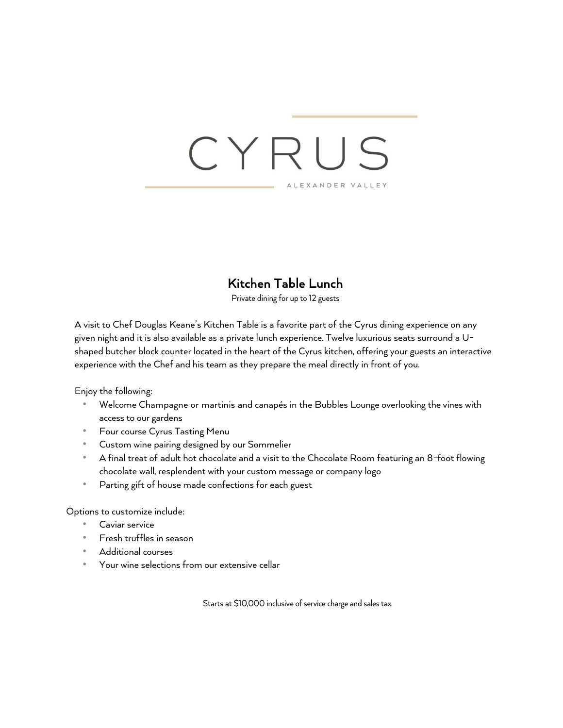### **Kitchen Table Lunch**<br>Private dining for up to 12 guests

A visit to Chef Douglas Keane's Kitchen Table is a favorite part of the Cyrus dining experience on any given night and it is also available as a private lunch experience. Twelve luxurious seats surround a Ushaped butcher block counter located in the heart of the Cyrus kitchen, offering your guests an interactive experience with the Chef and his team as they prepare the meal directly in front of you.

Enjoy the following:

- Welcome Champagne or martinis and canapés in the Bubbles Lounge overlooking the vines with access to our gardens
- Four course Cyrus Tasting Menu
- Custom wine pairing designed by our Sommelier
- A final treat of adult hot chocolate and a visit to the Chocolate Room featuring an 8-foot flowing chocolate wall, resplendent with your custom message or company logo
- Parting gift of house made confections for each guest

Options to customize include:

- Caviar service
- Fresh truffles in season
- Additional courses
- Your wine selections from our extensive cellar

Starts at \$10,000 inclusive of service charge and sales tax.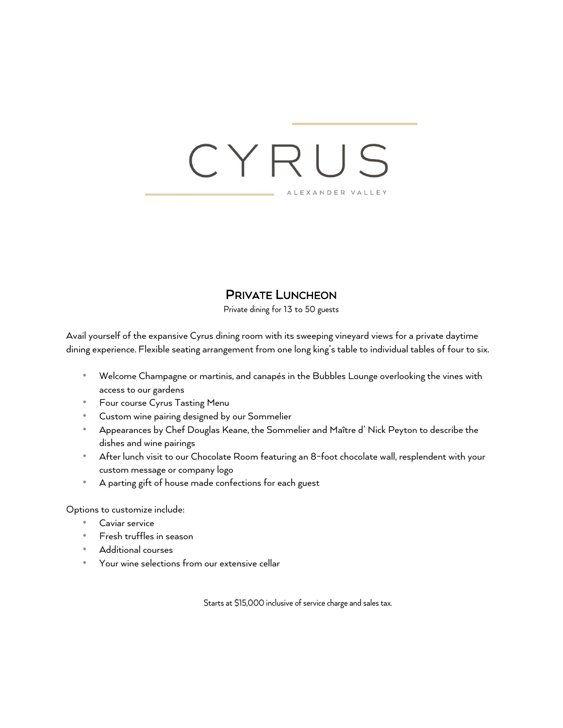### CYRU  $\subseteq$ ALEXANDER VALLEY

#### PRIVATE LUNCHEON

Private dining for 13 to 50 guests

Avail yourself of the expansive Cyrus dining room with its sweeping vineyard views for a private daytime dining experience. Flexible seating arrangement from one long king's table to individual tables of four to six.

- Welcome Champagne or martinis, and canapés in the Bubbles Lounge overlooking the vines with access to our gardens
- Four course Cyrus Tasting Menu
- Custom wine pairing designed by our Sommelier
- Appearances by Chef Douglas Keane, the Sommelier and Maître d' Nick Peyton to describe the dishes and wine pairings
- After lunch visit to our Chocolate Room featuring an 8-foot chocolate wall, resplendent with your custom message or company logo
- A parting gift of house made confections for each guest

Options to customize include:

- Caviar service
- Fresh truffles in season
- Additional courses
- Your wine selections from our extensive cellar

Starts at \$15,000 inclusive of service charge and sales tax.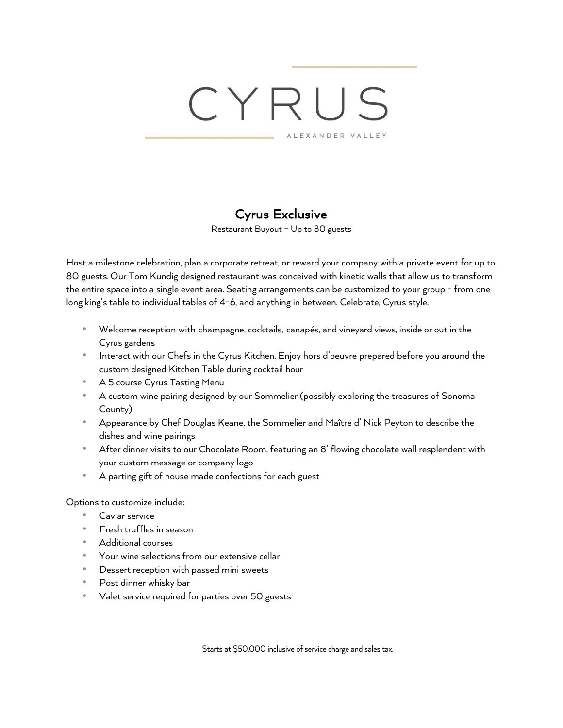**Cyrus Exclusive**<br>Restaurant Buyout – Up to 80 guests

Host a milestone celebration, plan a corporate retreat, or reward your company with a private event for up to 80 guests. Our Tom Kundig designed restaurant was conceived with kinetic walls that allow us to transform the entire space into a single event area. Seating arrangements can be customized to your group - from one long king's table to individual tables of 4-6, and anything in between. Celebrate, Cyrus style.

- Welcome reception with champagne, cocktails, canapés, and vineyard views, inside or out in the Cyrus gardens
- Interact with our Chefs in the Cyrus Kitchen. Enjoy hors d'oeuvre prepared before you around the custom designed Kitchen Table during cocktail hour
- A 5 course Cyrus Tasting Menu
- A custom wine pairing designed by our Sommelier (possibly exploring the treasures of Sonoma County)
- Appearance by Chef Douglas Keane, the Sommelier and Maître d' Nick Peyton to describe the dishes and wine pairings
- After dinner visits to our Chocolate Room, featuring an 8' flowing chocolate wall resplendent with your custom message or company logo
- A parting gift of house made confections for each guest

Options to customize include:

- Caviar service
- Fresh truffles in season
- Additional courses
- Your wine selections from our extensive cellar
- Dessert reception with passed mini sweets
- Post dinner whisky bar
- Valet service required for parties over 50 guests

Starts at \$50,000 inclusive of service charge and sales tax.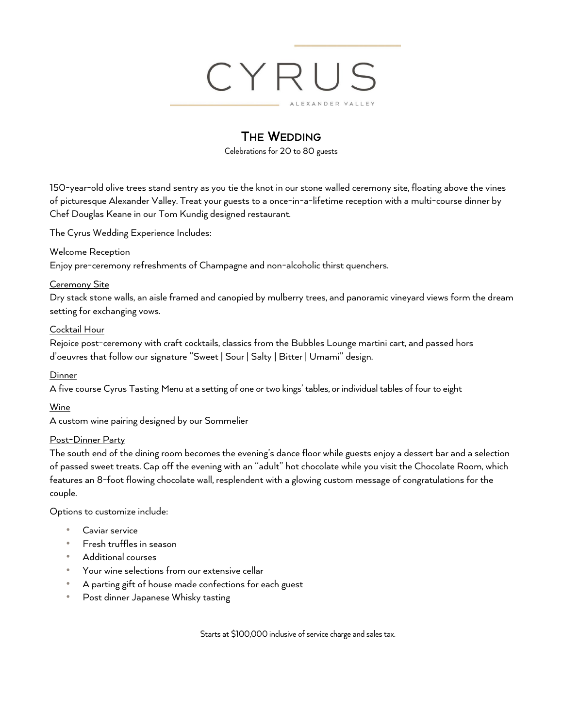### CYRU XANDER VALLEY

#### THE WEDDING

Celebrations for 20 to 80 guests

150-year-old olive trees stand sentry as you tie the knot in our stone walled ceremony site, floating above the vines of picturesque Alexander Valley. Treat your guests to a once-in-a-lifetime reception with a multi-course dinner by Chef Douglas Keane in our Tom Kundig designed restaurant.

The Cyrus Wedding Experience Includes:

#### Welcome Reception

Enjoy pre-ceremony refreshments of Champagne and non-alcoholic thirst quenchers.

#### Ceremony Site

Dry stack stone walls, an aisle framed and canopied by mulberry trees, and panoramic vineyard views form the dream setting for exchanging vows.

#### Cocktail Hour

Rejoice post-ceremony with craft cocktails, classics from the Bubbles Lounge martini cart, and passed hors d'oeuvres that follow our signature "Sweet | Sour | Salty | Bitter | Umami" design.

#### Dinner

A five course Cyrus Tasting Menu at a setting of one or two kings' tables, or individual tables of four to eight

#### Wine

A custom wine pairing designed by our Sommelier

#### Post-Dinner Party

The south end of the dining room becomes the evening's dance floor while guests enjoy a dessert bar and a selection of passed sweet treats. Cap off the evening with an "adult" hot chocolate while you visit the Chocolate Room, which features an 8-foot flowing chocolate wall, resplendent with a glowing custom message of congratulations for the couple.

Options to customize include:

- Caviar service
- Fresh truffles in season
- Additional courses
- Your wine selections from our extensive cellar
- A parting gift of house made confections for each guest
- Post dinner Japanese Whisky tasting

Starts at \$100,000 inclusive of service charge and sales tax.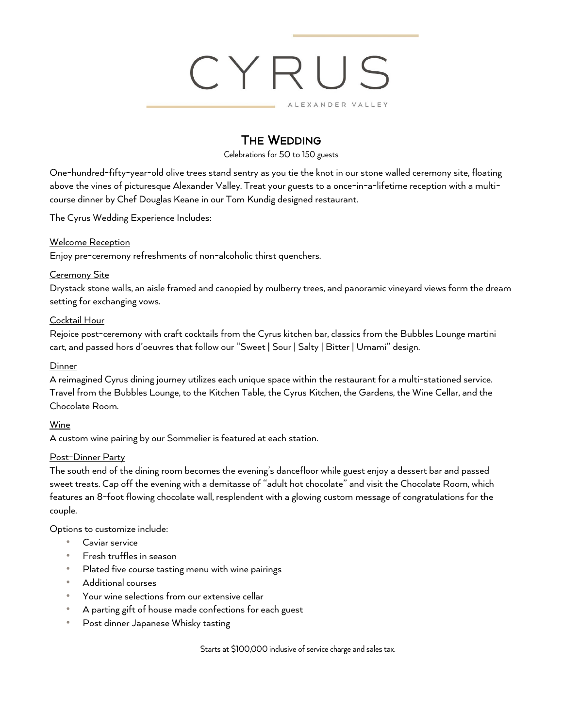

#### **THE WEDDING**

Celebrations for 50 to 150 guests

One-hundred-fifty-year-old olive trees stand sentry as you tie the knot in our stone walled ceremony site, floating above the vines of picturesque Alexander Valley. Treat your guests to a once-in-a-lifetime reception with a multicourse dinner by Chef Douglas Keane in our Tom Kundig designed restaurant.

The Cyrus Wedding Experience Includes:

#### Welcome Reception

Enjoy pre-ceremony refreshments of non-alcoholic thirst quenchers.

#### Ceremony Site

Drystack stone walls, an aisle framed and canopied by mulberry trees, and panoramic vineyard views form the dream setting for exchanging vows.

#### Cocktail Hour

Rejoice post-ceremony with craft cocktails from the Cyrus kitchen bar, classics from the Bubbles Lounge martini cart, and passed hors d'oeuvres that follow our "Sweet | Sour | Salty | Bitter | Umami" design.

#### **Dinner**

A reimagined Cyrus dining journey utilizes each unique space within the restaurant for a multi-stationed service. Travel from the Bubbles Lounge, to the Kitchen Table, the Cyrus Kitchen, the Gardens, the Wine Cellar, and the Chocolate Room.

#### Wine

A custom wine pairing by our Sommelier is featured at each station.

#### Post-Dinner Party

The south end of the dining room becomes the evening's dancefloor while guest enjoy a dessert bar and passed sweet treats. Cap off the evening with a demitasse of "adult hot chocolate" and visit the Chocolate Room, which features an 8-foot flowing chocolate wall, resplendent with a glowing custom message of congratulations for the couple.

Options to customize include:

- Caviar service
- Fresh truffles in season
- Plated five course tasting menu with wine pairings
- Additional courses
- Your wine selections from our extensive cellar
- A parting gift of house made confections for each guest
- Post dinner Japanese Whisky tasting

Starts at \$100,000 inclusive of service charge and sales tax.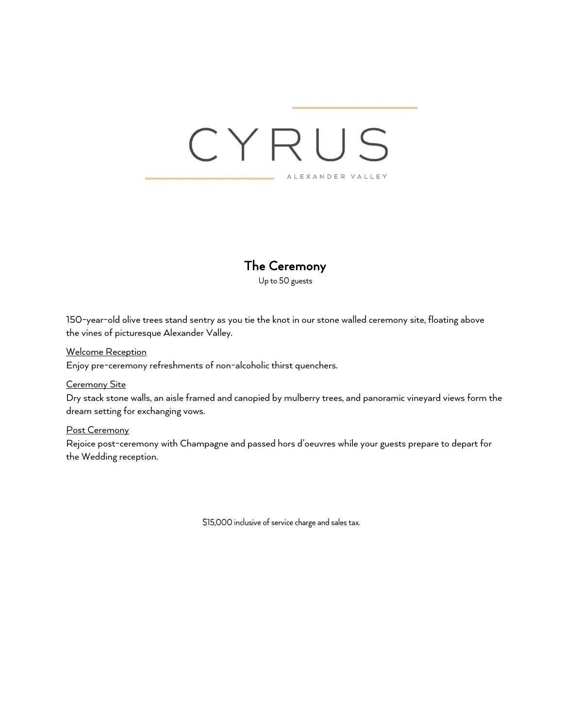#### The Ceremony

Up to 50 guests

150-year-old olive trees stand sentry as you tie the knot in our stone walled ceremony site, floating above the vines of picturesque Alexander Valley.

#### Welcome Reception

Enjoy pre-ceremony refreshments of non-alcoholic thirst quenchers.

#### Ceremony Site

Dry stack stone walls, an aisle framed and canopied by mulberry trees, and panoramic vineyard views form the dream setting for exchanging vows.

#### Post Ceremony

Rejoice post-ceremony with Champagne and passed hors d'oeuvres while your guests prepare to depart for the Wedding reception.

\$15,000 inclusive of service charge and sales tax.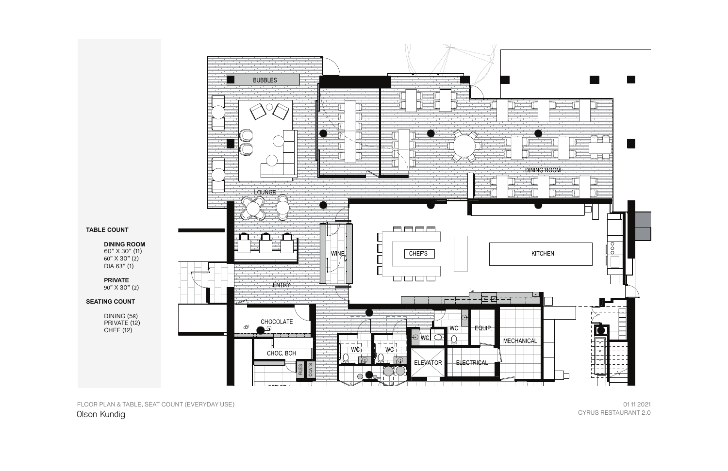CYRUS RESTAURANT 2.0 01 11 2021

FLOOR PLAN & TABLE, SEAT COUNT (EVERYDAY USE) Olson Kundig